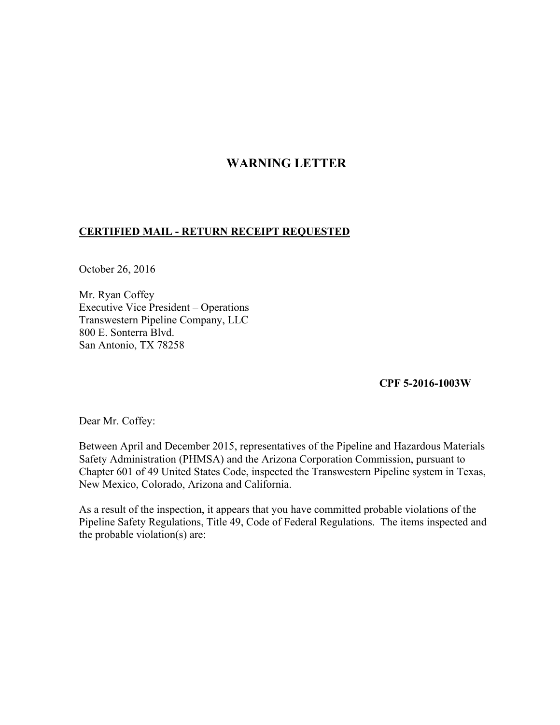## **WARNING LETTER**

## **CERTIFIED MAIL - RETURN RECEIPT REQUESTED**

October 26, 2016

Mr. Ryan Coffey Executive Vice President – Operations Transwestern Pipeline Company, LLC 800 E. Sonterra Blvd. San Antonio, TX 78258

## **CPF 5-2016-1003W**

Dear Mr. Coffey:

Between April and December 2015, representatives of the Pipeline and Hazardous Materials Safety Administration (PHMSA) and the Arizona Corporation Commission, pursuant to Chapter 601 of 49 United States Code, inspected the Transwestern Pipeline system in Texas, New Mexico, Colorado, Arizona and California.

As a result of the inspection, it appears that you have committed probable violations of the Pipeline Safety Regulations, Title 49, Code of Federal Regulations. The items inspected and the probable violation(s) are: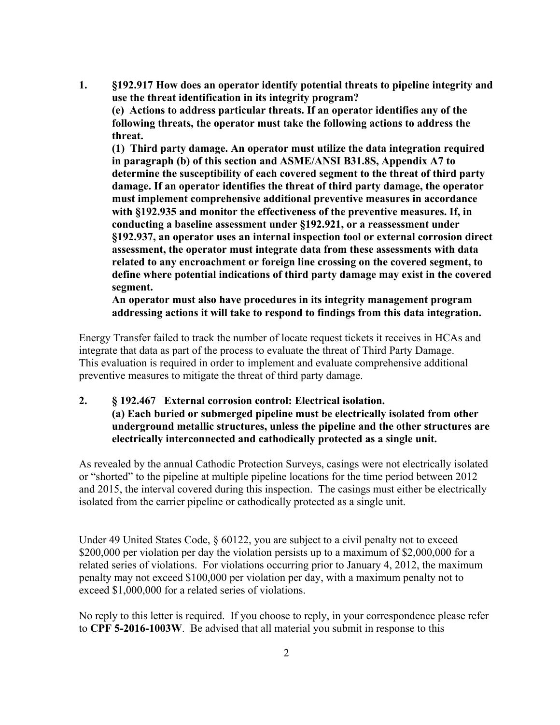**1. §192.917 How does an operator identify potential threats to pipeline integrity and use the threat identification in its integrity program? (e) Actions to address particular threats. If an operator identifies any of the following threats, the operator must take the following actions to address the threat.** 

**(1) Third party damage. An operator must utilize the data integration required in paragraph (b) of this section and ASME/ANSI B31.8S, Appendix A7 to determine the susceptibility of each covered segment to the threat of third party damage. If an operator identifies the threat of third party damage, the operator must implement comprehensive additional preventive measures in accordance with §192.935 and monitor the effectiveness of the preventive measures. If, in conducting a baseline assessment under §192.921, or a reassessment under §192.937, an operator uses an internal inspection tool or external corrosion direct assessment, the operator must integrate data from these assessments with data related to any encroachment or foreign line crossing on the covered segment, to define where potential indications of third party damage may exist in the covered segment.** 

**An operator must also have procedures in its integrity management program addressing actions it will take to respond to findings from this data integration.** 

Energy Transfer failed to track the number of locate request tickets it receives in HCAs and integrate that data as part of the process to evaluate the threat of Third Party Damage. This evaluation is required in order to implement and evaluate comprehensive additional preventive measures to mitigate the threat of third party damage.

**2. § 192.467 External corrosion control: Electrical isolation. (a) Each buried or submerged pipeline must be electrically isolated from other underground metallic structures, unless the pipeline and the other structures are electrically interconnected and cathodically protected as a single unit.** 

As revealed by the annual Cathodic Protection Surveys, casings were not electrically isolated or "shorted" to the pipeline at multiple pipeline locations for the time period between 2012 and 2015, the interval covered during this inspection. The casings must either be electrically isolated from the carrier pipeline or cathodically protected as a single unit.

Under 49 United States Code, § 60122, you are subject to a civil penalty not to exceed \$200,000 per violation per day the violation persists up to a maximum of \$2,000,000 for a related series of violations. For violations occurring prior to January 4, 2012, the maximum penalty may not exceed \$100,000 per violation per day, with a maximum penalty not to exceed \$1,000,000 for a related series of violations.

No reply to this letter is required. If you choose to reply, in your correspondence please refer to **CPF 5-2016-1003W**.Be advised that all material you submit in response to this